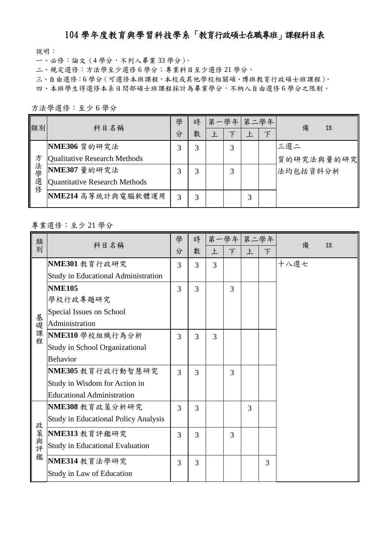## 104 學年度教育與學習科技學系「教育行政碩士在職專班」課程科目表

說明:

一、必修:論文(4 學分,不列入畢業 33 學分)。

二、規定選修:方法學至少選修 6 學分;專業科目至少選修 21 學分。

三、自由選修:6 學分(可選修本班課程,本校或其他學校相關碩、博班教育行政碩士班課程)。

四、本班學生得選修本系日間部碩士班課程採計為畢業學分,不納入自由選修 6 學分之限制。

方法學選修:至少 6 學分

| 類別       | 科目名稱                          | 學 | 時 |   | 第一學年 | 第二學年 |   | 備<br>註     |
|----------|-------------------------------|---|---|---|------|------|---|------------|
|          |                               | 分 | 數 | Ŀ | Ъ    | 上    | 下 |            |
|          | NME306 質的研究法                  | 3 | 3 |   | 3    |      |   | 三選二        |
| 方        | Qualitative Research Methods  |   |   |   |      |      |   | 質的研究法與量的研究 |
| 法學選<br>蓚 | NME307 量的研究法                  | 3 | 3 |   | 3    |      |   | 法均包括資料分析   |
|          | Quantitative Research Methods |   |   |   |      |      |   |            |
|          | NME214 高等統計與電腦軟體運用            | 3 | 3 |   |      | 3    |   |            |

## 專業選修:至少 21 學分

| 類<br>別    | 科目名稱                                        | 學 | 時 |   | 第一學年 第二學年 |   |   | 註    |
|-----------|---------------------------------------------|---|---|---|-----------|---|---|------|
|           |                                             | 分 | 數 | 上 | $\top$    | 上 | F | 備    |
|           | NME301 教育行政研究                               | 3 | 3 | 3 |           |   |   | 十八選七 |
|           | <b>Study in Educational Administration</b>  |   |   |   |           |   |   |      |
| 基礎課程      | <b>NME105</b>                               | 3 | 3 |   | 3         |   |   |      |
|           | 學校行政專題研究                                    |   |   |   |           |   |   |      |
|           | Special Issues on School                    |   |   |   |           |   |   |      |
|           | Administration                              |   |   |   |           |   |   |      |
|           | NME310 學校組織行為分析                             | 3 | 3 | 3 |           |   |   |      |
|           | <b>Study in School Organizational</b>       |   |   |   |           |   |   |      |
|           | <b>Behavior</b>                             |   |   |   |           |   |   |      |
|           | NME305 教育行政行動智慧研究                           | 3 | 3 |   | 3         |   |   |      |
|           | Study in Wisdom for Action in               |   |   |   |           |   |   |      |
|           | <b>Educational Administration</b>           |   |   |   |           |   |   |      |
|           | NME308 教育政策分析研究                             | 3 | 3 |   |           | 3 |   |      |
| 政策與評<br>鑑 | <b>Study in Educational Policy Analysis</b> |   |   |   |           |   |   |      |
|           | NME313 教育評鑑研究                               | 3 | 3 |   | 3         |   |   |      |
|           | <b>Study in Educational Evaluation</b>      |   |   |   |           |   |   |      |
|           | NME314 教育法學研究                               | 3 | 3 |   |           |   | 3 |      |
|           | Study in Law of Education                   |   |   |   |           |   |   |      |